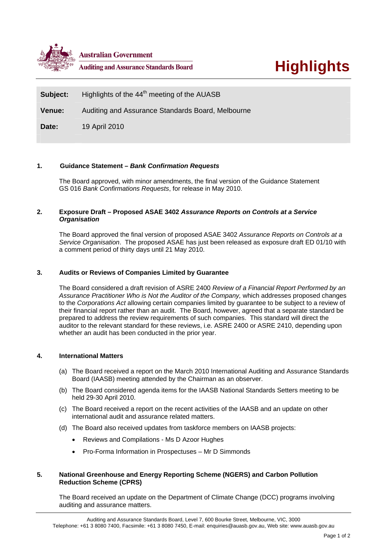

| Subject: | Highlights of the 44 <sup>th</sup> meeting of the AUASB |
|----------|---------------------------------------------------------|
| Venue:   | Auditing and Assurance Standards Board, Melbourne       |
| Date:    | 19 April 2010                                           |

# **1. Guidance Statement –** *Bank Confirmation Requests*

The Board approved, with minor amendments, the final version of the Guidance Statement GS 016 *Bank Confirmations Requests*, for release in May 2010.

## **2. Exposure Draft – Proposed ASAE 3402** *Assurance Reports on Controls at a Service Organisation*

The Board approved the final version of proposed ASAE 3402 *Assurance Reports on Controls at a Service Organisation*. The proposed ASAE has just been released as exposure draft ED 01/10 with a comment period of thirty days until 21 May 2010.

## **3. Audits or Reviews of Companies Limited by Guarantee**

The Board considered a draft revision of ASRE 2400 *Review of a Financial Report Performed by an Assurance Practitioner Who is Not the Auditor of the Company,* which addresses proposed changes to the *Corporations Act* allowing certain companies limited by guarantee to be subject to a review of their financial report rather than an audit. The Board, however, agreed that a separate standard be prepared to address the review requirements of such companies. This standard will direct the auditor to the relevant standard for these reviews, i.e. ASRE 2400 or ASRE 2410, depending upon whether an audit has been conducted in the prior year.

#### **4. International Matters**

- (a) The Board received a report on the March 2010 International Auditing and Assurance Standards Board (IAASB) meeting attended by the Chairman as an observer.
- (b) The Board considered agenda items for the IAASB National Standards Setters meeting to be held 29-30 April 2010.
- (c) The Board received a report on the recent activities of the IAASB and an update on other international audit and assurance related matters.
- (d) The Board also received updates from taskforce members on IAASB projects:
	- Reviews and Compilations Ms D Azoor Hughes
	- Pro-Forma Information in Prospectuses Mr D Simmonds

# **5. National Greenhouse and Energy Reporting Scheme (NGERS) and Carbon Pollution Reduction Scheme (CPRS)**

The Board received an update on the Department of Climate Change (DCC) programs involving auditing and assurance matters.

Auditing and Assurance Standards Board, Level 7, 600 Bourke Street, Melbourne, VIC, 3000 Telephone: +61 3 8080 7400, Facsimile: +61 3 8080 7450, E-mail: enquiries@auasb.gov.au, Web site: www.auasb.gov.au